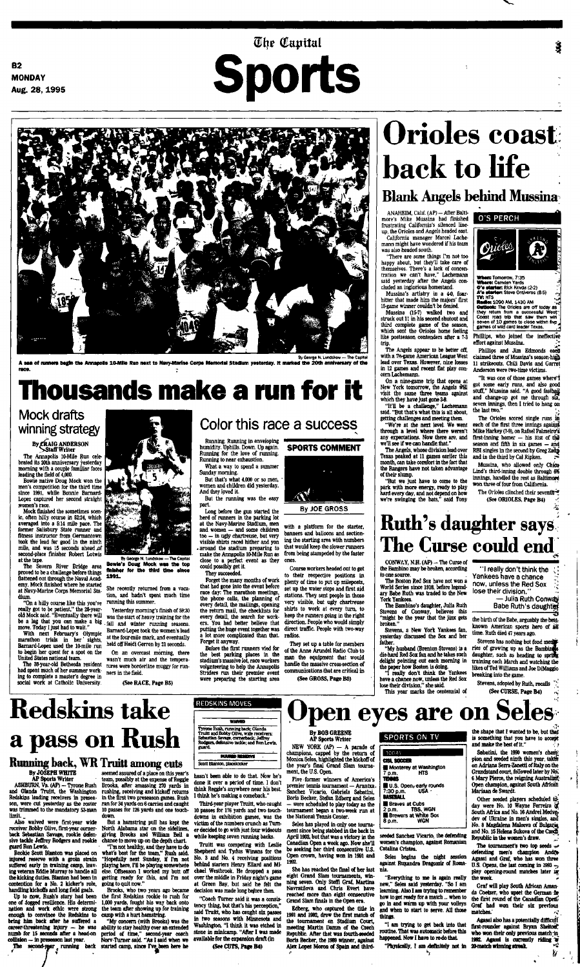**The Capital** 

**B2 MONDAY Aug.** 28, 1995



**A sea of runner\* begin the Annapolis 10-Mile Run next to Navy-Marine Corps Memorial Stadium yesterday. It marked the 20th anniversary of the race. ;**

# **Thousands make a run for it**

## Mock drafts winning strategy

## By *C*RAIG ANDERSON<br>Staff Writer

The Annapolis 10-Mile Run celebrated its 20th anniversary yesterday morning with a couple familiar faces leading the field of 4,000.

second-place finisher Robert Lotwis La at the tape.

Bowie native Doug Mock won the men's competition for the third time since 1991, while Bonnie Barnard-Lopez captured her second straight women's race.

Mock finished the sometimes scenic, often hilly course in 52:24, which averaged into a 5:14 mile pace. The former Salisbury State runner and fitness instructor from Germantown took the lead for good in the ninth mile, and was 15 seconds ahead ,of



The Severn River Bridge area proved to be a challenge before things flattened out through the Naval Academy. Mock finished where he started at Navy-Marine Corps Memorial Stadium.

"On a hilly course like this you've really got to be patient," the 28-yearold Mock said. "Eventually there will be a lag that you can make a big move. Today I just had to wait."

With next February's Olympic marathon trials in her' sights, Barnard-Lopez used the 10-mile run to begin her quest for a spot on the United States national team.

The 38-year-old Bethesda resident had spent much of her summer working to complete a master's degree in social work at Catholic University.

### 有法公共

# Color this race a success

By George N. Lundskow —The Capital **Bowie's Doug Mock was the top finisher for the third time since 1991.**

She recently returned from a vacation, and hadn't spent much time running this summer.

Yesterday morning's finish of 59:30 was the start of heavy training for the fall and winter running seasons. Barnard-Lopez took the women's lead at the four-mile mark, and eventually held off Heidi Gerren by 21 seconds.

On an overcast morning, there wasn't much air and the temperatures were borderline muggy for runners in the field.

(See RACE, Page B5)

ANAHEIM, Calif. (AP) - After Baltimore's Mike Mussina had finished frustrating California's silenced lineup, the Orioles and Angels headed east. California manager Marcel Lache-

"There are some things I'm not- too happy about, but they'll take care of themselves. There's a lack of concentration we can't have," Lachemann said yesterday after the Angels concluded an inglorious homestand. Mussina's artistry in a 4-0, foar-

Running. Running in enveloping humidity. Uphills. Down. Up again. Running for the love of running. Running to near exhaustion.

What a way to spend a summer Sunday morning.

But that's what 4,000 or so men, women and children did yesterday. And they loved it. But the running was the easy

part. Long before the gun started the herd of runners in the parking lot at the Navy-Marine Stadium, men and women — and some children too — in ugly chartreuse, but very visible shirts raced hither and yon • around the stadium preparing to

### make the Annapolis 10-Mile Run as close to a perfect event as they could possibly get it.

They succeeded.

Forget the many months of work that had gone into the event before race day: The marathon meetings, the phone calls, the planning of every detail, the mailings, opening the return mail, the checklists for every detail, the search for workers. You had better believe that putting the huge event together was a lot more complicated than that. Forget it anyway.

Before the first runners vied for the best parking places in the stadium's massive lot, race workers volunteering to help the Annapolis Striders run their premier event were preparing the starting area



with a platform for the starter, banners and balloons and sectioning the starting area with numbers that would keep the slower runners The Orioles clinched their seventh<sup>4</sup> (See ORIOLES, Page B4)*<sup>~</sup> f .*

from being stampeded by the faster ones.

CONWAY, N.H.  $(AP)$  - The Curse of the Bambino may be broken, according to one source.

Course workers headed out to get to their respective positions in plenty of time to put up mileposts, set up the water stops and first aid stations. They sent people in those very visible, but ugly chartreuse shirts to work at every turn, to keep the runners going in the right direction. People who would simply direct traffic. People with two-way radios.

"I really don't think the ;,' Yankees have a chance now, unless the Red Sox lose their division."

> — Julia Ruth Conw4y Babe Ruth's daughter

the birth of the Babe, arguably the bestknown American sports hero of all time. Ruth died 47 years ago.

They set up a table for members of the Anne Arundel Radio Club to man the equipment that would handle the massive cross-section of communications that are critical in

Stevens has nothing but fond ment ries of growing up as the Bambin<br>daughter, such as heading to spr training each March and watching the likes of Ted Williams and Joe DiMaggio breaking into the game.

(See GROSS, Page BS)

Stevens, adopted by Ruth, recalls  $\frac{1}{2}$ (See CURSE, Page B4) ^

# **Orioles coast back to life**

**Blank Angels behind Mussina**

mann might have wondered if his team was also headed south.

ASHBURN, Va. (AP) - Tyrone Rush and Olanda Truitt, the Washington Redskins leading receivers in preseason, were cut yesterday as the roster was trimmed to the mandatory 53-man limit.

hitter that made him the majors' first 15-game winner couldn't be denied.

Mussina (15-7) walked two and struck out 11 in his second shutout and third complete game of the season, which sent the Orioles home feeling like postseason contenders after a 7-3 trip.

The Angels appear to be better *off,* with a 7%-game American League West lead over Texas. However, nine losses in 12 games and recent flat play concern Lachemann.

On a nine-game trip that opens at New York tomorrow, the Angels will visit the same three teams against which they have just gone 3-8.

"It'll be a challenge," Lachemann said. "But that's what this is all about, getting challenges and meeting them.

"We're at the next level. We went through a level where there weren't any expectations. Now there are, and we'll see if we can handle.that."

The Angels, whose division lead over Texas peaked at 11 games earlier this month, can take comfort in the fact that the Rangers have not taken advantage of their slump.

"But we just have to come to the park with more energy, ready to play hard every day, and not depend on how we're swinging the bats," said Tony

O'S PERCH

NEW YORK  $(AP) - A$  parade of champions, capped by the return of Monica Seles, highlighted the kickoff of the year's final Grand Slam tournament, the U.S. Open.



**Itadie:** 1090 AM, 1430 AM<br>**Outlook:** The Orioles are off today as<br>they return from a successful West" Coast road trip that saw them win seven of 10 games to close within five,<br>games of wild card leader Texas.

Phillips, who joined the ineffective effort against Mussina. '.\*\*

Phillips and Jim Edmonds eacti claimed three of Mussina's season-nig)} 11 strikeouts. Chili Davis and Garret Anderson were two-time victims.

"It was one of those games where"! got some early runs, and also good stuff," Mussina said. "A good fastball and change-up got me through six, seven innings, then I tried to hang on the last two."

The Orioles scored single runs in each of the first three innings against Mike Harkey (7-9), on Rafael Palmeiro's first-inning homer  $-$  his 31st of the season and fifth in six games — and RBI singles in the second by Greg Zaug and in the third by Cal Ripken.

the shape that I wanted to be, but that is something that you have to accept and make the best of it."

Sabatini, the 1990 women's chan's pion and seeded ninth this year, takes on Adriana Serra-Zanetti of Italy on the Grandstand court, followed later by No. 6 Mary Pierce, the reigning Australian; Open champion, against South African Mariaan de Swardt

Other seeded players scheduled tdday were No. 10 Wayne Ferreira of South Africa and No. 16 Andrei Medvedev of Ukraine in men's singles, and No. 8 Magdalena Maleeva of Bulgaria and No. 15 Helena Sukova of the Czech Republic in the women's draw.

The tournament's two top seeds  $\rightarrow$ defending men's champion Andre-Agassi and Graf, who has won three U.S. Opens, the last coming in 1993  $_{\odot}$ play opening-round matches later in the week.

Mussina, who allowed only Chico Lind's third-inning double through 6% innings, handled the rest as Baltimore won three of four from California.

**Ruth's daughter says**

# **The Curse could end**

The Boston Red Sox have not won a World Series since 1918, before legendary Babe Ruth was traded to the New York Yankees.

The Bambino's daughter, Julia Ruth Stevens of Conway, believes this "might be the year that the jinx gets broken."

Stevens, a New York Yankees fan, yesterday discussed the Sox and her father.

"My husband (Brenton Stevens) is a die-hard Red Sox fan and he takes such delight pointing out each morning in the paper how Boston is doing.

"I really don't think the Yankees have a chance now, unless the Red Sox lose their division," she said. This year marks the centennial of

# **Redskins take a pass on Rush**

### **Running back, WR Truitt among cuts**

### REDSKINS MOVES

### **WANTD**

Tyrone Rush, running back; Olanda Truitt and Bobby Olive, wide receivers; Sebastian Savage, comerback; *Jeffrey* Rodgers, defensive tackle; and Ron Lewis, guard.

### **PUURED RESERVS**

By JOSEPH WHITE AP Sports Writer

Scott Blanton, placekicker

# **Open eyes are on Seles**

Also waived were first-year wide receiver Bobby Olive, first-year cornerback Sebastian Savage, rookie defensive tackle Jeffrey Rodgers and rookie chance to move up on the depth chart. guard Ron Lewis,

Rookie Scott Blanton was placed on injured reserve with a groin strain suffered early in training camp, leaving veteran Eddie Murray to handle all contention for a No. 2 kicker's role, handling kickoffs and long field goals.

Up to now, Rush's story had been one of dogged resilience. His determination and work ethic were strong enough to convince the Redskins to camp with a hurt hamstring. bring him back after he suffered a career-threatening injury — he was numb for 15 seconds after a head-on collision — in preseason last year.

The second-year running back

the kicking duties. Blanton had been in getting ready for this, and I'm not But a hamstring pull has kept the North Alabama star on the sidelines, giving Brooks and William Bell a "I'm not healthy, and they have to do what's best for the team," Rush said. "Hopefully next Sunday, if I'm not playing here, I'll be playing somewhere else. Offseason I worked my butt off going to quit now."

seemed assured of a place on this year's team, possibly at the expense of Reggie Brooks, after amassing 270 yards in rushing, receiving and kickoff returns in the first two preseason games. Rush ran for 34 yards on 6 carries and caught 10 passes for 126 yards and one touchdown.

Brooks, who two years ago became the first Redskins rookie to rush for 1,000 yards, fought his way back onto the team after showing up for training

"My concern (with Brooks) was the ability to stay healthy over an extended period of time," second-year coach Norv-Turner said. "As I said when we started camp, since I've been here he \*

hasn't been able to do that. Now he's done it over a period of time. I don't think Reggie's anywhere near his best. I think he's making a comeback."

Third-year player Truitt, who caught 10 passes for 176 yards and two touchdowns in exhibition games, was the victim of the numbers crunch as Turner decided to go with just four wideouts while keeping seven running backs.

Truitt was competing with Leslie Shepherd and Tydus Winans for the No. 3 and No. 4 receiving positions behind starters Henry Ellard and Michael Westbrook. He dropped a pass over the middle in Friday night's game at Green Bay, but said he felt the decision was made long before then.

"Coach Turner said it was a consistency thing, but that's his perception," said Truitt, who has caught six passes in two seasons with Minnesota and Washington. "I think it was etched in stone in minicamp. "After I was made available for the expansion draft (in (See CUTS, Page B4)

### By BOB GREENE AP Sports Writer

Five -former winners of America's premier tennis tournament — Arantxa. Sanchez Vicario, Gabriela Sabatini, Boris Becker, Stefan Edberg and Seles — were scheduled to play today as the tournament began a two-week run at the National Tennis Center.

Seles has played in only one tourna-

ment since being stabbed in the back in April 1993, but that was a victory in the Canadian Open a week ago. Now she'll be seeking her third consecutive U.S. Open crown, having won in 1991 and 1992.

She has reached the final of her last nia. eight Grand Slam tournaments, winning seven. Only Steffi Graf, Martina Navratilova and Chris Evert have reached more than eight consecutive Grand Slam finals in the Open era.

Edberg, who captured the title in 1991 and 1992, drew the first match of the tournament on Stadium Court, meeting Martin Damm of the Czech Republic. After that was fourth-seeded Boris Becker, the 1969 winner, against Alex Lopez Moron of Spain and third-

### SPORTS ON TV

| TODAY                                           |
|-------------------------------------------------|
| CISL SOCCER                                     |
| Monterey at Washington                          |
| HTS<br>7 p.m.<br><b>TENIS</b>                   |
| U.S. Open <sub>r</sub> early rounds             |
| <b>USA</b><br>7:30 p.m.                         |
| <b>BASERALL</b>                                 |
| <b>Braves at Cubs</b><br>2 p.m. <b>TBS, WGN</b> |
| Brewers at White Sox                            |
| WGN<br>8 p.m.                                   |
|                                                 |

seeded Sanchez Vicario, the defending women's champion, against Romanian Catalina Cristea.

Seles begins the night session against Ruxandra Dragomir of Roma-

"Everything to me is again really new," Seles said yesterday. "So I am learning. Also I am trying to remember go in and warm up with your volleys and when to start to serve. All those things.

how to get ready for a match... when to

"I am trying to get back into that routine. That was automatic before this happened. Now I have to re-do that

Graf will play South African Amanda Coetzer, who upset the German fir the first round of the Canadian Opens Graf bad won their six previous matches.' \*•;',

"Physically, I am definitely not in 20-match winning streak. The relation Agassi also has a potentially difficult' first-rounder against Bryan Shelton? who won their only previous match in 1992. Agassi is currently riding  $\tilde{w}$ <br>20-match winning streak